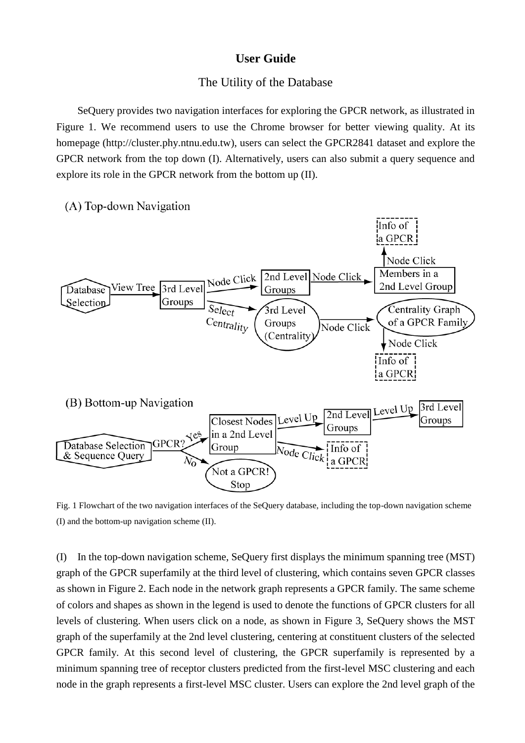## **User Guide**

## The Utility of the Database

SeQuery provides two navigation interfaces for exploring the GPCR network, as illustrated in Figure 1. We recommend users to use the Chrome browser for better viewing quality. At its homepage [\(http://cluster.phy.ntnu.edu.tw\)](http://cluster.phy.ntnu.edu.tw/), users can select the GPCR2841 dataset and explore the GPCR network from the top down (I). Alternatively, users can also submit a query sequence and explore its role in the GPCR network from the bottom up (II).



Fig. 1 Flowchart of the two navigation interfaces of the SeQuery database, including the top-down navigation scheme (I) and the bottom-up navigation scheme (II).

(I) In the top-down navigation scheme, SeQuery first displays the minimum spanning tree (MST) graph of the GPCR superfamily at the third level of clustering, which contains seven GPCR classes as shown in Figure 2. Each node in the network graph represents a GPCR family. The same scheme of colors and shapes as shown in the legend is used to denote the functions of GPCR clusters for all levels of clustering. When users click on a node, as shown in Figure 3, SeQuery shows the MST graph of the superfamily at the 2nd level clustering, centering at constituent clusters of the selected GPCR family. At this second level of clustering, the GPCR superfamily is represented by a minimum spanning tree of receptor clusters predicted from the first-level MSC clustering and each node in the graph represents a first-level MSC cluster. Users can explore the 2nd level graph of the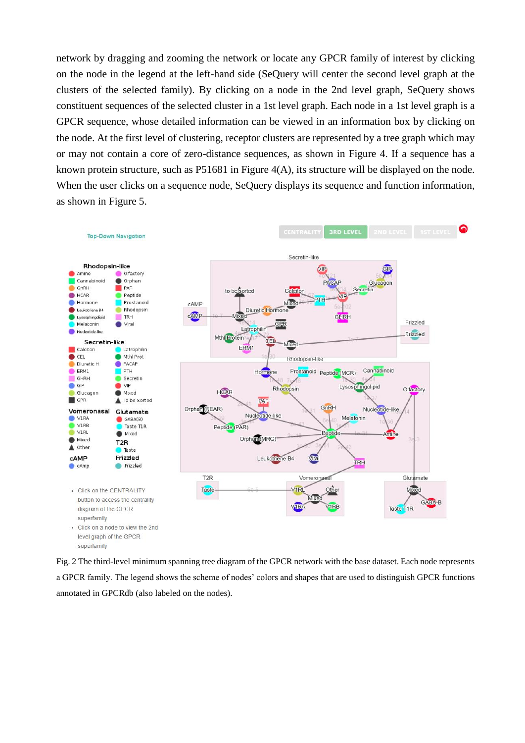network by dragging and zooming the network or locate any GPCR family of interest by clicking on the node in the legend at the left-hand side (SeQuery will center the second level graph at the clusters of the selected family). By clicking on a node in the 2nd level graph, SeQuery shows constituent sequences of the selected cluster in a 1st level graph. Each node in a 1st level graph is a GPCR sequence, whose detailed information can be viewed in an information box by clicking on the node. At the first level of clustering, receptor clusters are represented by a tree graph which may or may not contain a core of zero-distance sequences, as shown in Figure 4. If a sequence has a known protein structure, such as P51681 in Figure 4(A), its structure will be displayed on the node. When the user clicks on a sequence node, SeQuery displays its sequence and function information, as shown in Figure 5.



Fig. 2 The third-level minimum spanning tree diagram of the GPCR network with the base dataset. Each node represents a GPCR family. The legend shows the scheme of nodes' colors and shapes that are used to distinguish GPCR functions annotated in GPCRdb (also labeled on the nodes).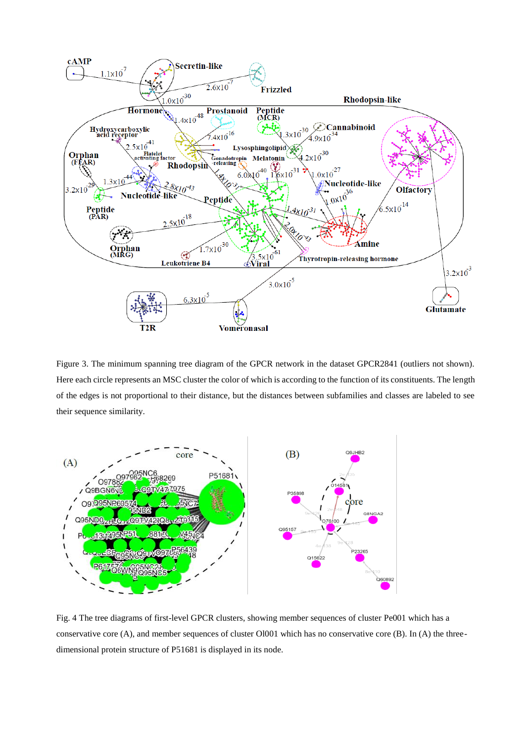

Figure 3. The minimum spanning tree diagram of the GPCR network in the dataset GPCR2841 (outliers not shown). Here each circle represents an MSC cluster the color of which is according to the function of its constituents. The length of the edges is not proportional to their distance, but the distances between subfamilies and classes are labeled to see their sequence similarity.



Fig. 4 The tree diagrams of first-level GPCR clusters, showing member sequences of cluster Pe001 which has a conservative core (A), and member sequences of cluster Ol001 which has no conservative core (B). In (A) the threedimensional protein structure of P51681 is displayed in its node.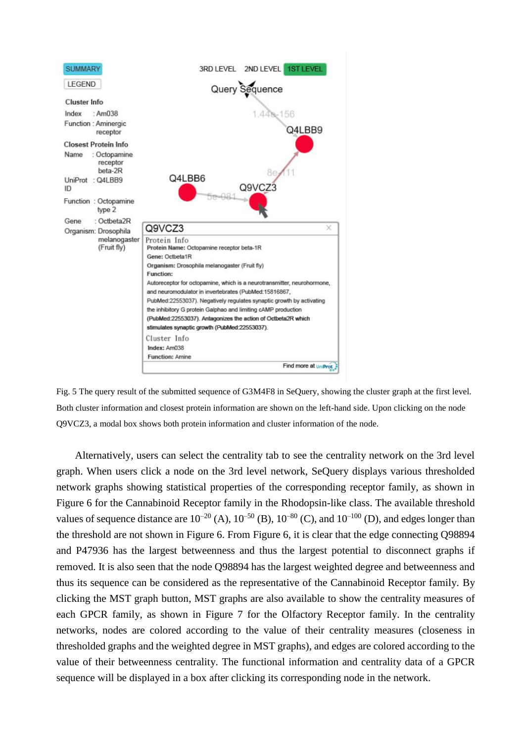

Fig. 5 The query result of the submitted sequence of G3M4F8 in SeQuery, showing the cluster graph at the first level. Both cluster information and closest protein information are shown on the left-hand side. Upon clicking on the node Q9VCZ3, a modal box shows both protein information and cluster information of the node.

Alternatively, users can select the centrality tab to see the centrality network on the 3rd level graph. When users click a node on the 3rd level network, SeQuery displays various thresholded network graphs showing statistical properties of the corresponding receptor family, as shown in Figure 6 for the Cannabinoid Receptor family in the Rhodopsin-like class. The available threshold values of sequence distance are  $10^{-20}$  (A),  $10^{-50}$  (B),  $10^{-80}$  (C), and  $10^{-100}$  (D), and edges longer than the threshold are not shown in Figure 6. From Figure 6, it is clear that the edge connecting Q98894 and P47936 has the largest betweenness and thus the largest potential to disconnect graphs if removed. It is also seen that the node Q98894 has the largest weighted degree and betweenness and thus its sequence can be considered as the representative of the Cannabinoid Receptor family. By clicking the MST graph button, MST graphs are also available to show the centrality measures of each GPCR family, as shown in Figure 7 for the Olfactory Receptor family. In the centrality networks, nodes are colored according to the value of their centrality measures (closeness in thresholded graphs and the weighted degree in MST graphs), and edges are colored according to the value of their betweenness centrality. The functional information and centrality data of a GPCR sequence will be displayed in a box after clicking its corresponding node in the network.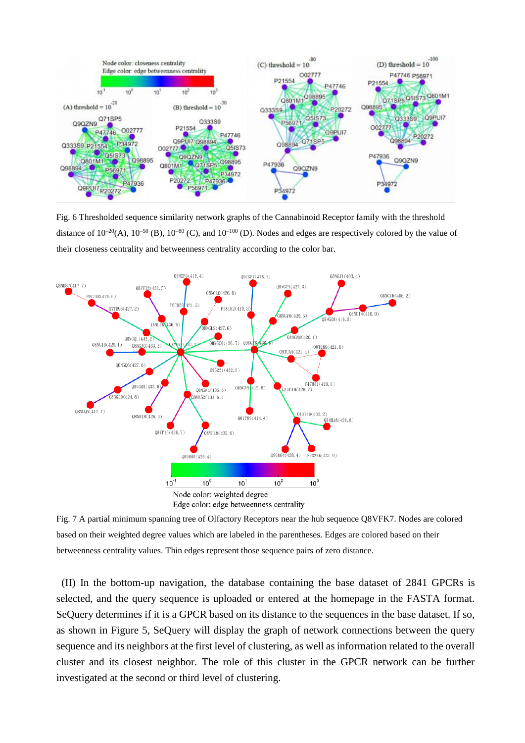

Fig. 6 Thresholded sequence similarity network graphs of the Cannabinoid Receptor family with the threshold distance of  $10^{-20}$ (A),  $10^{-50}$  (B),  $10^{-80}$  (C), and  $10^{-100}$  (D). Nodes and edges are respectively colored by the value of their closeness centrality and betweenness centrality according to the color bar.



Fig. 7 A partial minimum spanning tree of Olfactory Receptors near the hub sequence Q8VFK7. Nodes are colored based on their weighted degree values which are labeled in the parentheses. Edges are colored based on their betweenness centrality values. Thin edges represent those sequence pairs of zero distance.

(II) In the bottom-up navigation, the database containing the base dataset of 2841 GPCRs is selected, and the query sequence is uploaded or entered at the homepage in the FASTA format. SeQuery determines if it is a GPCR based on its distance to the sequences in the base dataset. If so, as shown in Figure 5, SeQuery will display the graph of network connections between the query sequence and its neighbors at the first level of clustering, as well as information related to the overall cluster and its closest neighbor. The role of this cluster in the GPCR network can be further investigated at the second or third level of clustering.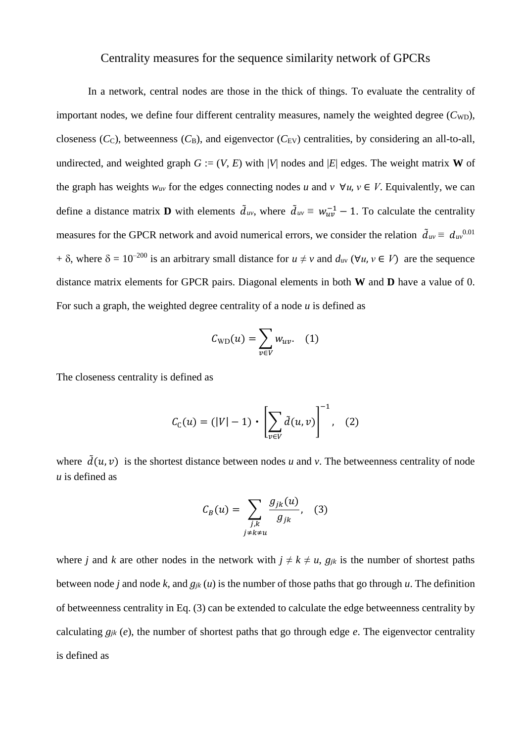## Centrality measures for the sequence similarity network of GPCRs

In a network, central nodes are those in the thick of things. To evaluate the centrality of important nodes, we define four different centrality measures, namely the weighted degree  $(C_{WD})$ , closeness  $(C_C)$ , betweenness  $(C_B)$ , and eigenvector  $(C_{EV})$  centralities, by considering an all-to-all, undirected, and weighted graph  $G := (V, E)$  with |*V*| nodes and |*E*| edges. The weight matrix **W** of the graph has weights  $w_{uv}$  for the edges connecting nodes *u* and  $v \ \forall u, v \in V$ . Equivalently, we can define a distance matrix **D** with elements  $\tilde{d}_{uv}$ , where  $\tilde{d}_{uv} \equiv w_{uv}^{-1} - 1$ . To calculate the centrality measures for the GPCR network and avoid numerical errors, we consider the relation  $\tilde{d}_{uv} \equiv d_{uv}^{0.01}$ +  $\delta$ , where  $\delta = 10^{-200}$  is an arbitrary small distance for  $u \neq v$  and  $d_{uv}$  ( $\forall u, v \in V$ ) are the sequence distance matrix elements for GPCR pairs. Diagonal elements in both **W** and **D** have a value of 0. For such a graph, the weighted degree centrality of a node *u* is defined as

$$
C_{\text{WD}}(u) = \sum_{v \in V} w_{uv}. \quad (1)
$$

The closeness centrality is defined as

$$
C_{C}(u) = (|V| - 1) \cdot \left[ \sum_{v \in V} \tilde{d}(u, v) \right]^{-1}, \quad (2)
$$

where  $\tilde{d}(u, v)$  is the shortest distance between nodes *u* and *v*. The betweenness centrality of node *u* is defined as

$$
C_B(u) = \sum_{\substack{j,k \ j \neq k \neq u}} \frac{g_{jk}(u)}{g_{jk}}, \quad (3)
$$

where *j* and *k* are other nodes in the network with  $j \neq k \neq u$ ,  $g_{jk}$  is the number of shortest paths between node *j* and node *k*, and  $q_{ik}(u)$  is the number of those paths that go through *u*. The definition of betweenness centrality in Eq. (3) can be extended to calculate the edge betweenness centrality by calculating  $g_{jk}$  (*e*), the number of shortest paths that go through edge *e*. The eigenvector centrality is defined as